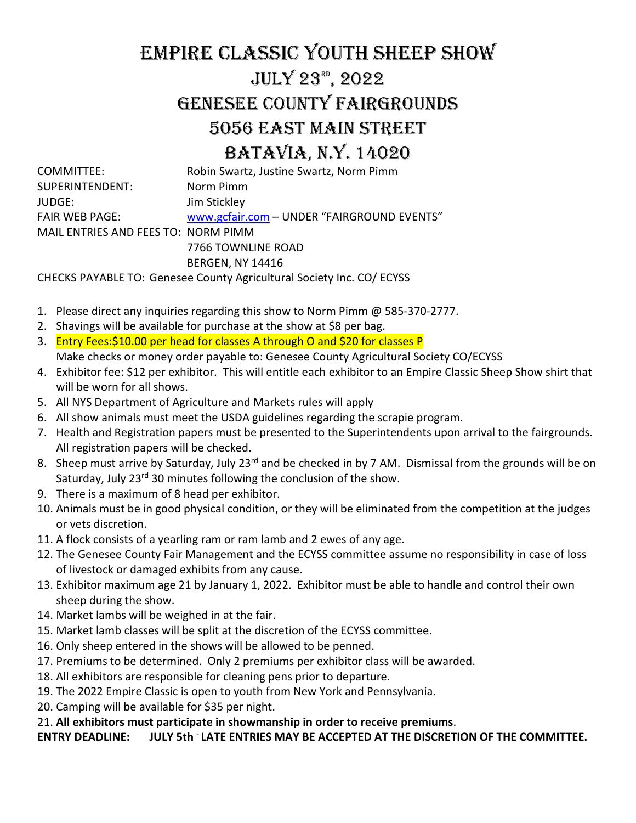# EMPIRE CLASSIC YOUTH SHEEP SHOW July 23rd , 2022 GENESEE COUNTY FAIRGROUNDS 5056 EAST MAIN STREET BATAVIA, N.Y. 14020

| COMMITTEE:                          | Robin Swartz, Justine Swartz, Norm Pimm    |
|-------------------------------------|--------------------------------------------|
| SUPERINTENDENT:                     | Norm Pimm                                  |
| JUDGE: I                            | Jim Stickley                               |
| FAIR WEB PAGE:                      | www.gcfair.com - UNDER "FAIRGROUND EVENTS" |
| MAIL ENTRIES AND FEES TO: NORM PIMM |                                            |
|                                     | 7766 TOWNLINE ROAD                         |
|                                     | <b>BERGEN, NY 14416</b>                    |
|                                     |                                            |

CHECKS PAYABLE TO: Genesee County Agricultural Society Inc. CO/ ECYSS

- 1. Please direct any inquiries regarding this show to Norm Pimm @ 585-370-2777.
- 2. Shavings will be available for purchase at the show at \$8 per bag.
- 3. Entry Fees:\$10.00 per head for classes A through O and \$20 for classes P Make checks or money order payable to: Genesee County Agricultural Society CO/ECYSS
- 4. Exhibitor fee: \$12 per exhibitor. This will entitle each exhibitor to an Empire Classic Sheep Show shirt that will be worn for all shows.
- 5. All NYS Department of Agriculture and Markets rules will apply
- 6. All show animals must meet the USDA guidelines regarding the scrapie program.
- 7. Health and Registration papers must be presented to the Superintendents upon arrival to the fairgrounds. All registration papers will be checked.
- 8. Sheep must arrive by Saturday, July 23<sup>rd</sup> and be checked in by 7 AM. Dismissal from the grounds will be on Saturday, July 23<sup>rd</sup> 30 minutes following the conclusion of the show.
- 9. There is a maximum of 8 head per exhibitor.
- 10. Animals must be in good physical condition, or they will be eliminated from the competition at the judges or vets discretion.
- 11. A flock consists of a yearling ram or ram lamb and 2 ewes of any age.
- 12. The Genesee County Fair Management and the ECYSS committee assume no responsibility in case of loss of livestock or damaged exhibits from any cause.
- 13. Exhibitor maximum age 21 by January 1, 2022. Exhibitor must be able to handle and control their own sheep during the show.
- 14. Market lambs will be weighed in at the fair.
- 15. Market lamb classes will be split at the discretion of the ECYSS committee.
- 16. Only sheep entered in the shows will be allowed to be penned.
- 17. Premiums to be determined. Only 2 premiums per exhibitor class will be awarded.
- 18. All exhibitors are responsible for cleaning pens prior to departure.
- 19. The 2022 Empire Classic is open to youth from New York and Pennsylvania.
- 20. Camping will be available for \$35 per night.
- 21. **All exhibitors must participate in showmanship in order to receive premiums**.

**ENTRY DEADLINE: JULY 5th - LATE ENTRIES MAY BE ACCEPTED AT THE DISCRETION OF THE COMMITTEE.**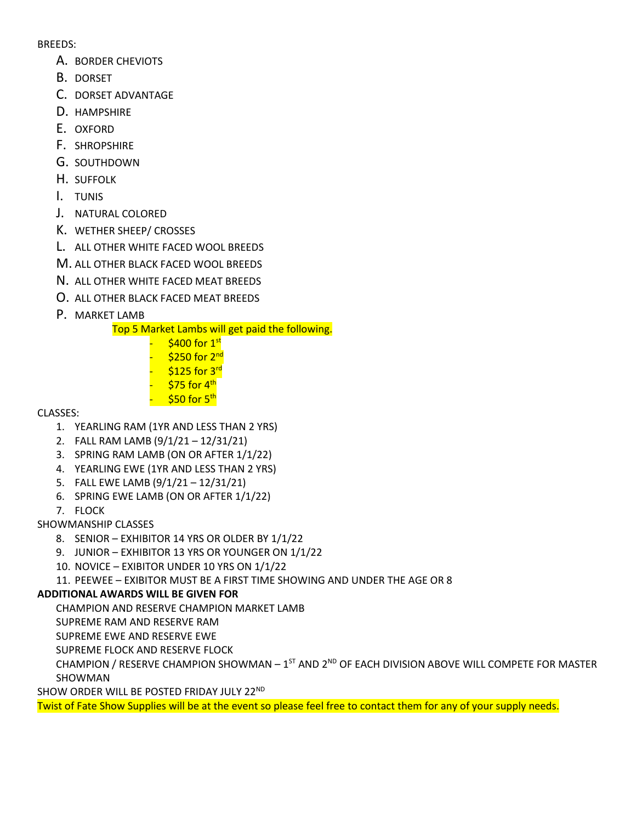#### BREEDS:

- A. BORDER CHEVIOTS
- B. DORSET
- C. DORSET ADVANTAGE
- D. HAMPSHIRE
- E. OXFORD
- F. SHROPSHIRE
- G. SOUTHDOWN
- H. SUFFOLK
- I. TUNIS
- J. NATURAL COLORED
- K. WETHER SHEEP/ CROSSES
- L. ALL OTHER WHITE FACED WOOL BREEDS
- M. ALL OTHER BLACK FACED WOOL BREEDS
- N. ALL OTHER WHITE FACED MEAT BREEDS
- O. ALL OTHER BLACK FACED MEAT BREEDS
- P. MARKET LAMB

Top 5 Market Lambs will get paid the following.

 $$400$  for  $1<sup>st</sup>$ \$250 for 2<sup>nd</sup>  $$125$  for  $3<sup>rd</sup>$  $575$  for  $4<sup>th</sup>$  $$50$  for  $5<sup>th</sup>$ 

#### CLASSES:

- 1. YEARLING RAM (1YR AND LESS THAN 2 YRS)
- 2. FALL RAM LAMB (9/1/21 12/31/21)
- 3. SPRING RAM LAMB (ON OR AFTER 1/1/22)
- 4. YEARLING EWE (1YR AND LESS THAN 2 YRS)
- 5. FALL EWE LAMB (9/1/21 12/31/21)
- 6. SPRING EWE LAMB (ON OR AFTER 1/1/22)
- 7. FLOCK

#### SHOWMANSHIP CLASSES

- 8. SENIOR EXHIBITOR 14 YRS OR OLDER BY 1/1/22
- 9. JUNIOR EXHIBITOR 13 YRS OR YOUNGER ON 1/1/22
- 10. NOVICE EXIBITOR UNDER 10 YRS ON 1/1/22
- 11. PEEWEE EXIBITOR MUST BE A FIRST TIME SHOWING AND UNDER THE AGE OR 8

### **ADDITIONAL AWARDS WILL BE GIVEN FOR**

CHAMPION AND RESERVE CHAMPION MARKET LAMB

SUPREME RAM AND RESERVE RAM

SUPREME EWE AND RESERVE EWE

SUPREME FLOCK AND RESERVE FLOCK

CHAMPION / RESERVE CHAMPION SHOWMAN -  $1^{ST}$  AND  $2^{ND}$  OF EACH DIVISION ABOVE WILL COMPETE FOR MASTER SHOWMAN

SHOW ORDER WILL BE POSTED FRIDAY JULY 22ND

Twist of Fate Show Supplies will be at the event so please feel free to contact them for any of your supply needs.